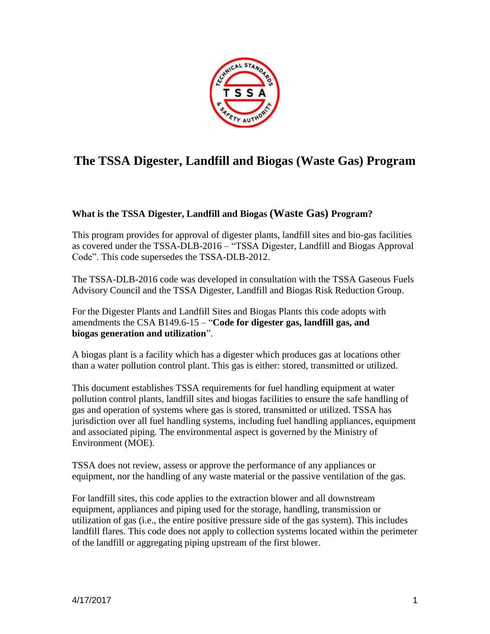

# **The TSSA Digester, Landfill and Biogas (Waste Gas) Program**

# **What is the TSSA Digester, Landfill and Biogas (Waste Gas) Program?**

This program provides for approval of digester plants, landfill sites and bio-gas facilities as covered under the TSSA-DLB-2016 – "TSSA Digester, Landfill and Biogas Approval Code". This code supersedes the TSSA-DLB-2012.

The TSSA-DLB-2016 code was developed in consultation with the TSSA Gaseous Fuels Advisory Council and the TSSA Digester, Landfill and Biogas Risk Reduction Group.

For the Digester Plants and Landfill Sites and Biogas Plants this code adopts with amendments the CSA B149.6-15 – "**Code for digester gas, landfill gas, and biogas generation and utilization**".

A biogas plant is a facility which has a digester which produces gas at locations other than a water pollution control plant. This gas is either: stored, transmitted or utilized.

This document establishes TSSA requirements for fuel handling equipment at water pollution control plants, landfill sites and biogas facilities to ensure the safe handling of gas and operation of systems where gas is stored, transmitted or utilized. TSSA has jurisdiction over all fuel handling systems, including fuel handling appliances, equipment and associated piping. The environmental aspect is governed by the Ministry of Environment (MOE).

TSSA does not review, assess or approve the performance of any appliances or equipment, nor the handling of any waste material or the passive ventilation of the gas.

For landfill sites, this code applies to the extraction blower and all downstream equipment, appliances and piping used for the storage, handling, transmission or utilization of gas (i.e., the entire positive pressure side of the gas system). This includes landfill flares. This code does not apply to collection systems located within the perimeter of the landfill or aggregating piping upstream of the first blower.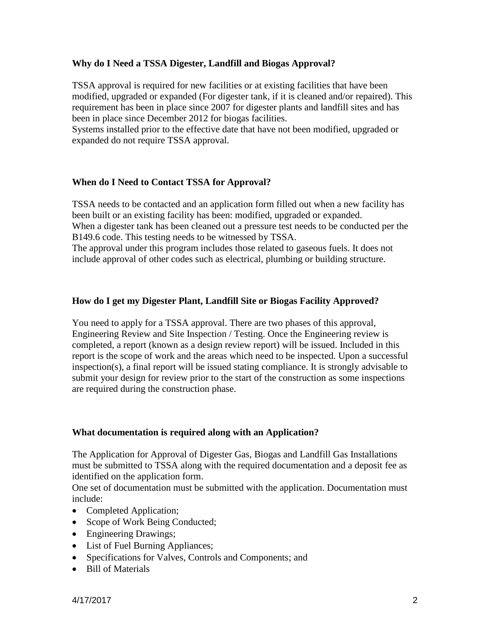# **Why do I Need a TSSA Digester, Landfill and Biogas Approval?**

TSSA approval is required for new facilities or at existing facilities that have been modified, upgraded or expanded (For digester tank, if it is cleaned and/or repaired). This requirement has been in place since 2007 for digester plants and landfill sites and has been in place since December 2012 for biogas facilities.

Systems installed prior to the effective date that have not been modified, upgraded or expanded do not require TSSA approval.

# **When do I Need to Contact TSSA for Approval?**

TSSA needs to be contacted and an application form filled out when a new facility has been built or an existing facility has been: modified, upgraded or expanded. When a digester tank has been cleaned out a pressure test needs to be conducted per the B149.6 code. This testing needs to be witnessed by TSSA.

The approval under this program includes those related to gaseous fuels. It does not include approval of other codes such as electrical, plumbing or building structure.

# **How do I get my Digester Plant, Landfill Site or Biogas Facility Approved?**

You need to apply for a TSSA approval. There are two phases of this approval, Engineering Review and Site Inspection / Testing. Once the Engineering review is completed, a report (known as a design review report) will be issued. Included in this report is the scope of work and the areas which need to be inspected. Upon a successful inspection(s), a final report will be issued stating compliance. It is strongly advisable to submit your design for review prior to the start of the construction as some inspections are required during the construction phase.

## **What documentation is required along with an Application?**

The Application for Approval of Digester Gas, Biogas and Landfill Gas Installations must be submitted to TSSA along with the required documentation and a deposit fee as identified on the application form.

One set of documentation must be submitted with the application. Documentation must include:

- Completed Application;
- Scope of Work Being Conducted;
- Engineering Drawings;
- List of Fuel Burning Appliances;
- Specifications for Valves, Controls and Components; and
- Bill of Materials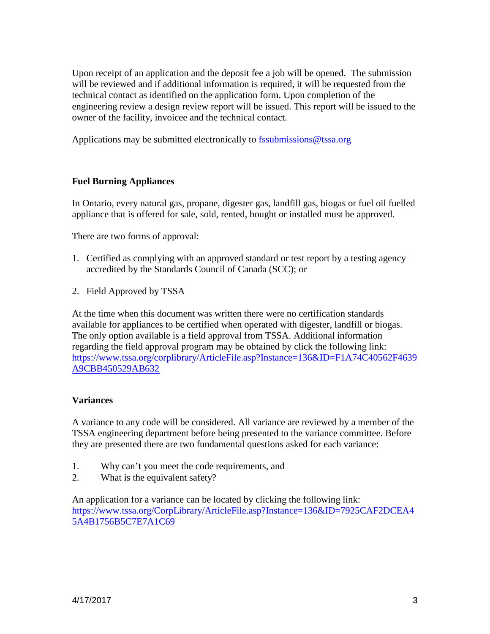Upon receipt of an application and the deposit fee a job will be opened. The submission will be reviewed and if additional information is required, it will be requested from the technical contact as identified on the application form. Upon completion of the engineering review a design review report will be issued. This report will be issued to the owner of the facility, invoicee and the technical contact.

Applications may be submitted electronically to  $\frac{f_{\text{ssubmissions}}}{g_{\text{tssa.org}}}$ 

# **Fuel Burning Appliances**

In Ontario, every natural gas, propane, digester gas, landfill gas, biogas or fuel oil fuelled appliance that is offered for sale, sold, rented, bought or installed must be approved.

There are two forms of approval:

- 1. Certified as complying with an approved standard or test report by a testing agency accredited by the Standards Council of Canada (SCC); or
- 2. Field Approved by TSSA

At the time when this document was written there were no certification standards available for appliances to be certified when operated with digester, landfill or biogas. The only option available is a field approval from TSSA. Additional information regarding the field approval program may be obtained by click the following link: [https://www.tssa.org/corplibrary/ArticleFile.asp?Instance=136&ID=F1A74C40562F4639](https://www.tssa.org/corplibrary/ArticleFile.asp?Instance=136&ID=F1A74C40562F4639A9CBB450529AB632) [A9CBB450529AB632](https://www.tssa.org/corplibrary/ArticleFile.asp?Instance=136&ID=F1A74C40562F4639A9CBB450529AB632)

## **Variances**

A variance to any code will be considered. All variance are reviewed by a member of the TSSA engineering department before being presented to the variance committee. Before they are presented there are two fundamental questions asked for each variance:

- 1. Why can't you meet the code requirements, and
- 2. What is the equivalent safety?

An application for a variance can be located by clicking the following link: [https://www.tssa.org/CorpLibrary/ArticleFile.asp?Instance=136&ID=7925CAF2DCEA4](https://www.tssa.org/CorpLibrary/ArticleFile.asp?Instance=136&ID=7925CAF2DCEA45A4B1756B5C7E7A1C69) [5A4B1756B5C7E7A1C69](https://www.tssa.org/CorpLibrary/ArticleFile.asp?Instance=136&ID=7925CAF2DCEA45A4B1756B5C7E7A1C69)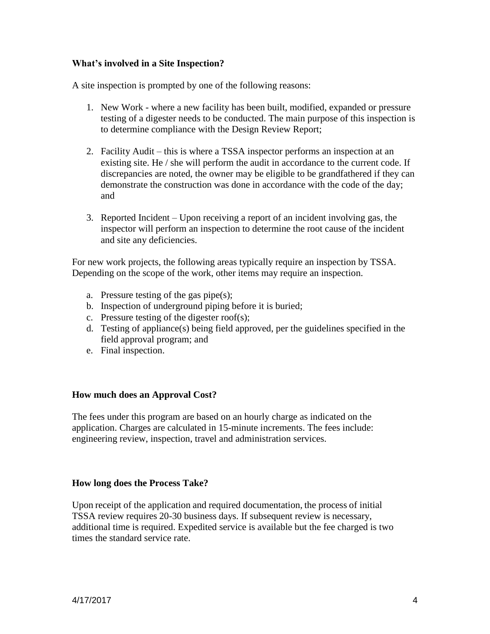# **What's involved in a Site Inspection?**

A site inspection is prompted by one of the following reasons:

- 1. New Work where a new facility has been built, modified, expanded or pressure testing of a digester needs to be conducted. The main purpose of this inspection is to determine compliance with the Design Review Report;
- 2. Facility Audit this is where a TSSA inspector performs an inspection at an existing site. He / she will perform the audit in accordance to the current code. If discrepancies are noted, the owner may be eligible to be grandfathered if they can demonstrate the construction was done in accordance with the code of the day; and
- 3. Reported Incident Upon receiving a report of an incident involving gas, the inspector will perform an inspection to determine the root cause of the incident and site any deficiencies.

For new work projects, the following areas typically require an inspection by TSSA. Depending on the scope of the work, other items may require an inspection.

- a. Pressure testing of the gas pipe(s);
- b. Inspection of underground piping before it is buried;
- c. Pressure testing of the digester roof(s);
- d. Testing of appliance(s) being field approved, per the guidelines specified in the field approval program; and
- e. Final inspection.

## **How much does an Approval Cost?**

The fees under this program are based on an hourly charge as indicated on the application. Charges are calculated in 15-minute increments. The fees include: engineering review, inspection, travel and administration services.

## **How long does the Process Take?**

Upon receipt of the application and required documentation, the process of initial TSSA review requires 20-30 business days. If subsequent review is necessary, additional time is required. Expedited service is available but the fee charged is two times the standard service rate.